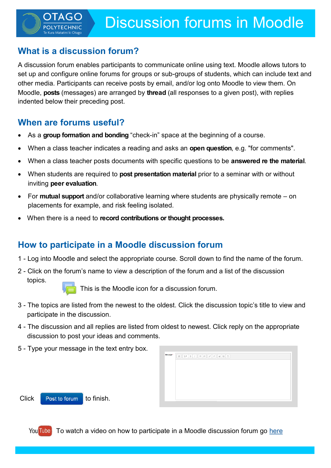# **What is a discussion forum?**

A discussion forum enables participants to communicate online using text. Moodle allows tutors to set up and configure online forums for groups or sub-groups of students, which can include text and other media. Participants can receive posts by email, and/or log onto Moodle to view them. On Moodle, **posts** (messages) are arranged by **thread** (all responses to a given post), with replies indented below their preceding post.

## **When are forums useful?**

- As a **group formation and bonding** "check-in" space at the beginning of a course.
- When a class teacher indicates a reading and asks an **open question**, e.g. "for comments".
- When a class teacher posts documents with specific questions to be **answered re the material**.
- When students are required to **post presentation material** prior to a seminar with or without inviting **peer evaluation**.
- For **mutual support** and/or collaborative learning where students are physically remote on placements for example, and risk feeling isolated.
- When there is a need to **record contributions or thought processes.**

# **How to participate in a Moodle discussion forum**

- 1 Log into Moodle and select the appropriate course. Scroll down to find the name of the forum.
- 2 Click on the forum's name to view a description of the forum and a list of the discussion
	- topics.

This is the Moodle icon for a discussion forum.

- 3 The topics are listed from the newest to the oldest. Click the discussion topic's title to view and participate in the discussion.
- 4 The discussion and all replies are listed from oldest to newest. Click reply on the appropriate discussion to post your ideas and comments.
- 5 Type your message in the text entry box.

| Мессаде* |  |
|----------|--|
|          |  |
|          |  |
|          |  |
|          |  |
|          |  |